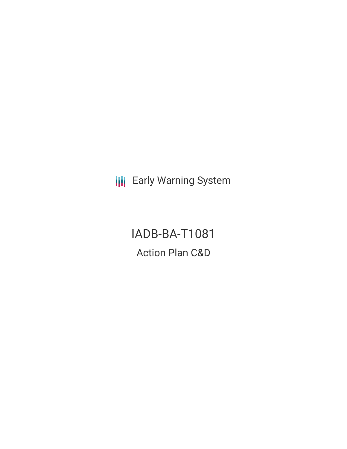**III** Early Warning System

IADB-BA-T1081 Action Plan C&D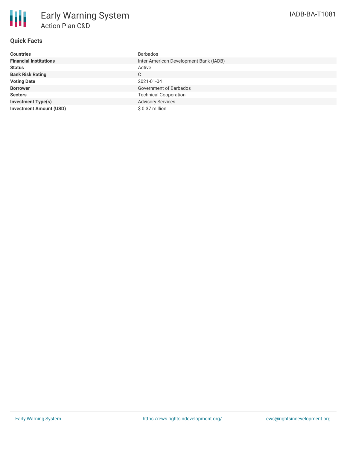

## **Quick Facts**

| <b>Countries</b>               | <b>Barbados</b>                        |
|--------------------------------|----------------------------------------|
| <b>Financial Institutions</b>  | Inter-American Development Bank (IADB) |
| <b>Status</b>                  | Active                                 |
| <b>Bank Risk Rating</b>        | $\mathsf{C}$                           |
| <b>Voting Date</b>             | 2021-01-04                             |
| <b>Borrower</b>                | <b>Government of Barbados</b>          |
| <b>Sectors</b>                 | <b>Technical Cooperation</b>           |
| <b>Investment Type(s)</b>      | <b>Advisory Services</b>               |
| <b>Investment Amount (USD)</b> | $$0.37$ million                        |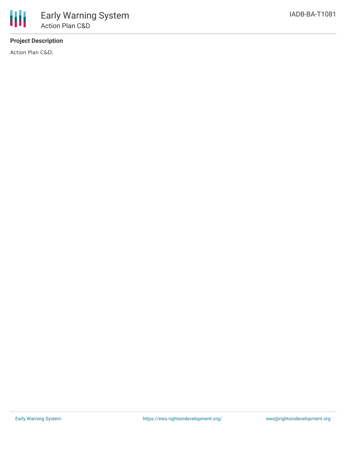# **Project Description**

Action Plan C&D;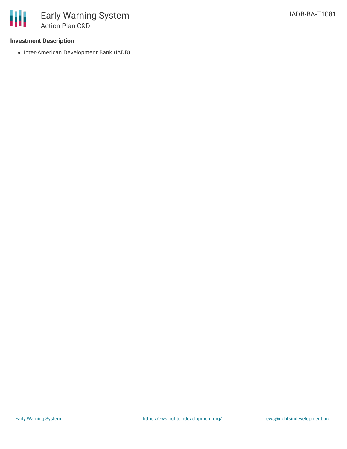### **Investment Description**

• Inter-American Development Bank (IADB)